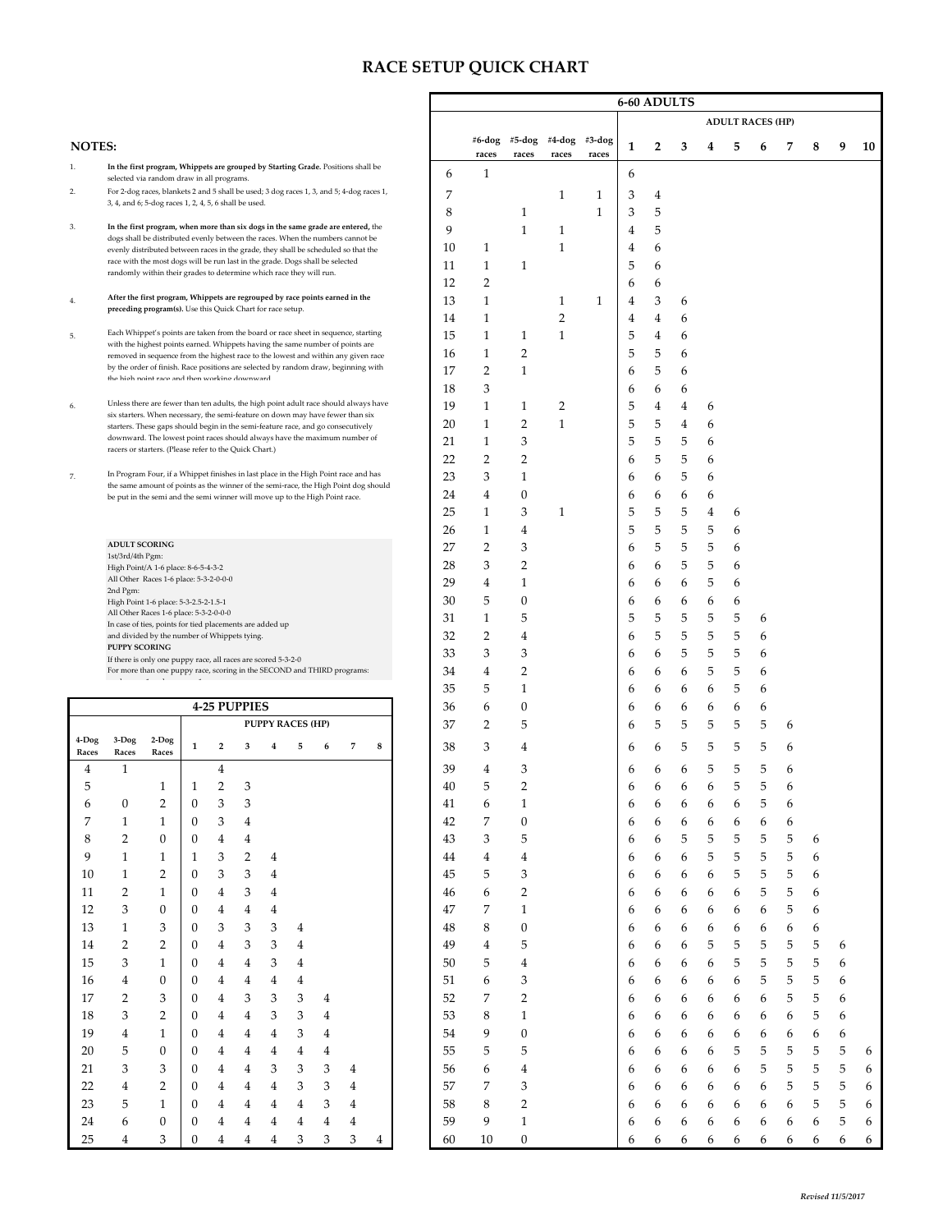## **RACE SETUP QUICK CHART**

| <b>ADULT RACES (HP)</b><br>#5-dog<br>#4-dog<br>#6-dog<br>#3-dog<br><b>NOTES:</b><br>2<br>1<br>3<br>9<br>10<br>4<br>5<br>7<br>8<br>6<br>races<br>races<br>races<br>races<br>1.<br>In the first program, Whippets are grouped by Starting Grade. Positions shall be<br>$\mathbf{1}$<br>6<br>6<br>selected via random draw in all programs.<br>For 2-dog races, blankets 2 and 5 shall be used; 3 dog races 1, 3, and 5; 4-dog races 1,<br>2.<br>7<br>1<br>1<br>3<br>4<br>3, 4, and 6; 5-dog races 1, 2, 4, 5, 6 shall be used.<br>8<br>$\mathbf{1}$<br>5<br>$\mathbf{1}$<br>3<br>3.<br>In the first program, when more than six dogs in the same grade are entered, the<br>9<br>$\mathbf{1}$<br>5<br>1<br>4<br>dogs shall be distributed evenly between the races. When the numbers cannot be<br>10<br>$\mathbf{1}$<br>1<br>4<br>6<br>evenly distributed between races in the grade, they shall be scheduled so that the<br>race with the most dogs will be run last in the grade. Dogs shall be selected<br>11<br>$\mathbf{1}$<br>$\mathbf{1}$<br>5<br>6<br>randomly within their grades to determine which race they will run.<br>$\overline{2}$<br>12<br>6<br>6<br>After the first program, Whippets are regrouped by race points earned in the<br>$1\,$<br>13<br>$\mathbf{1}$<br>$\mathbf{1}$<br>3<br>4<br>6<br>4.<br>preceding program(s). Use this Quick Chart for race setup.<br>$\mathbf{1}$<br>2<br>14<br>4<br>4<br>6<br>Each Whippet's points are taken from the board or race sheet in sequence, starting<br>5<br>15<br>$\mathbf{1}$<br>$\mathbf{1}$<br>1<br>4<br>5.<br>6<br>with the highest points earned. Whippets having the same number of points are<br>$\overline{2}$<br>5<br>5<br>16<br>1<br>6<br>removed in sequence from the highest race to the lowest and within any given race<br>by the order of finish. Race positions are selected by random draw, beginning with<br>$\mathbf{1}$<br>17<br>2<br>5<br>6<br>6<br>the high noint race and then working downward<br>3<br>18<br>6<br>6<br>6<br>Unless there are fewer than ten adults, the high point adult race should always have<br>19<br>5<br>1<br>1<br>2<br>4<br>4<br>6<br>6.<br>six starters. When necessary, the semi-feature on down may have fewer than six<br>$\overline{2}$<br>5<br>20<br>$\mathbf{1}$<br>$\mathbf{1}$<br>5<br>$\overline{4}$<br>6<br>starters. These gaps should begin in the semi-feature race, and go consecutively<br>downward. The lowest point races should always have the maximum number of<br>3<br>5<br>5<br>5<br>$\mathbf{1}$<br>21<br>6<br>racers or starters. (Please refer to the Quick Chart.)<br>22<br>$\overline{2}$<br>$\overline{2}$<br>5<br>5<br>6<br>6<br>In Program Four, if a Whippet finishes in last place in the High Point race and has<br>23<br>3<br>$\mathbf{1}$<br>5<br>7.<br>6<br>6<br>6<br>the same amount of points as the winner of the semi-race, the High Point dog should<br>$\mathbf{0}$<br>24<br>4<br>6<br>6<br>6<br>6<br>be put in the semi and the semi winner will move up to the High Point race.<br>25<br>3<br>5<br>5<br>1<br>1<br>5<br>4<br>6<br>5<br>5<br>26<br>1<br>4<br>5<br>5<br>6<br><b>ADULT SCORING</b><br>27<br>$\overline{2}$<br>3<br>5<br>5<br>5<br>6<br>6<br>1st/3rd/4th Pgm:<br>$\overline{2}$<br>5<br>28<br>3<br>5<br>6<br>6<br>6<br>High Point/A 1-6 place: 8-6-5-4-3-2<br>All Other Races 1-6 place: 5-3-2-0-0-0<br>29<br>$\overline{4}$<br>$\mathbf{1}$<br>5<br>6<br>6<br>6<br>6<br>2nd Pgm:<br>5<br>$\boldsymbol{0}$<br>30<br>6<br>6<br>6<br>6<br>6<br>High Point 1-6 place: 5-3-2.5-2-1.5-1<br>All Other Races 1-6 place: 5-3-2-0-0-0<br>5<br>5<br>31<br>$\mathbf{1}$<br>5<br>5<br>5<br>5<br>6<br>In case of ties, points for tied placements are added up<br>5<br>32<br>$\overline{2}$<br>5<br>5<br>5<br>4<br>6<br>and divided by the number of Whippets tying.<br>6<br><b>PUPPY SCORING</b><br>33<br>3<br>3<br>5<br>5<br>5<br>6<br>6<br>6<br>If there is only one puppy race, all races are scored 5-3-2-0<br>2<br>5<br>34<br>4<br>5<br>For more than one puppy race, scoring in the SECOND and THIRD programs:<br>6<br>6<br>6<br>6<br>5<br>5<br>35<br>1<br>6<br>6<br>6<br>6<br>6<br><b>4-25 PUPPIES</b><br>$\boldsymbol{0}$<br>36<br>6<br>6<br>6<br>6<br>6<br>6<br>6<br>5<br>5<br>37<br>$\overline{2}$<br>5<br>5<br>5<br>5<br><b>PUPPY RACES (HP)</b><br>6<br>6<br>4-Dog<br>$3-Dog$<br>$2-Dog$<br>38<br>3<br>5<br>5<br>5<br>5<br>$\overline{2}$<br>4<br>1<br>3<br>7<br>8<br>4<br>5<br>6<br>6<br>6<br>6<br>Races<br>Races<br>Races<br>5<br>5<br>$\mathbf{1}$<br>4<br>39<br>3<br>5<br>4<br>4<br>6<br>6<br>6<br>6<br>$\sqrt{2}$<br>3<br>40<br>O<br>3<br>3<br>2<br>$\boldsymbol{0}$<br>$\mathbf{1}$<br>5<br>6<br>0<br>41<br>6<br>6<br>6<br>6<br>6<br>6<br>6<br>7<br>$\boldsymbol{0}$<br>7<br>$\mathbf{1}$<br>$\mathbf{1}$<br>3<br>42<br>6<br>6<br>0<br>4<br>6<br>6<br>6<br>6<br>6<br>8<br>$\overline{2}$<br>0<br>43<br>3<br>5<br>5<br>5<br>5<br>0<br>4<br>4<br>6<br>5<br>5<br>6<br>6<br>5<br>9<br>5<br>$\mathbf{1}$<br>2<br>44<br>$\overline{\mathbf{4}}$<br>5<br>5<br>6<br>1<br>1<br>3<br>4<br>4<br>6<br>6<br>6<br>3<br>10<br>$\mathbf{1}$<br>2<br>3<br>3<br>5<br>5<br>5<br>6<br>0<br>4<br>45<br>5<br>6<br>6<br>6<br>6<br>$\overline{2}$<br>$\overline{\mathbf{c}}$<br>5<br>5<br>11<br>$\mathbf{1}$<br>3<br>4<br>46<br>6<br>6<br>0<br>4<br>6<br>6<br>6<br>6<br>6<br>3<br>12<br>$\boldsymbol{0}$<br>$\bf{4}$<br>7<br>$\mathbf{1}$<br>5<br>6<br>4<br>47<br>6<br>0<br>4<br>6<br>6<br>6<br>6<br>6<br>$\sqrt{3}$<br>$\mathbf{1}$<br>3<br>3<br>8<br>$\boldsymbol{0}$<br>6<br>13<br>3<br>$\overline{\mathbf{4}}$<br>48<br>6<br>6<br>0<br>6<br>6<br>6<br>6<br>6<br>5<br>$\overline{c}$<br>$\overline{2}$<br>$\mathfrak{Z}$<br>$\mathbf 5$<br>5<br>5<br>5<br>14<br>3<br>$\bf 4$<br>49<br>5<br>$\overline{\mathbf{4}}$<br>6<br>6<br>6<br>0<br>4<br>6<br>5<br>$15\,$<br>3<br>$\mathbf{1}$<br>3<br>50<br>$\overline{\mathbf{4}}$<br>6<br>5<br>5<br>5<br>4<br>5<br>6<br>0<br>4<br>4<br>6<br>6<br>6<br>$\boldsymbol{0}$<br>3<br>5<br>5<br>5<br>16<br>$\overline{4}$<br>$\overline{4}$<br>4<br>51<br>6<br>6<br>6<br>6<br>0<br>4<br>4<br>6<br>6<br>6<br>17<br>$\overline{2}$<br>3<br>3<br>52<br>$\overline{c}$<br>5<br>3<br>3<br>7<br>6<br>5<br>6<br>0<br>4<br>4<br>6<br>6<br>6<br>6<br>6<br>2<br>3<br>53<br>8<br>5<br>18<br>3<br>3<br>$\mathbf{1}$<br>6<br>0<br>4<br>4<br>4<br>6<br>6<br>6<br>6<br>6<br>6<br>6<br>19<br>3<br>54<br>9<br>$\boldsymbol{0}$<br>$\overline{4}$<br>$\mathbf{1}$<br>$\overline{4}$<br>6<br>6<br>6<br>6<br>0<br>4<br>4<br>6<br>6<br>6<br>6<br>6<br>4<br>5<br>20<br>5<br>0<br>$\overline{\mathbf{4}}$<br>$\overline{\mathbf{4}}$<br>55<br>5<br>5<br>6<br>6<br>5<br>5<br>5<br>5<br>0<br>4<br>4<br>6<br>6<br>4<br>6<br>$\ensuremath{\mathsf{3}}$<br>5<br>5<br>3<br>3<br>3<br>3<br>56<br>6<br>6<br>5<br>5<br>21<br>$\overline{\mathbf{4}}$<br>6<br>$\overline{\mathbf{4}}$<br>6<br>6<br>0<br>4<br>6<br>4<br>6<br>3<br>5<br>22<br>$\overline{\mathbf{4}}$<br>2<br>$\bf{4}$<br>3<br>6<br>5<br>5<br>$\overline{\mathbf{4}}$<br>3<br>57<br>7<br>6<br>6<br>6<br>0<br>4<br>4<br>6<br>6<br>6<br>5<br>$\sqrt{2}$<br>23<br>58<br>8<br>5<br>$\mathbf{1}$<br>4<br>3<br>6<br>6<br>6<br>6<br>5<br>0<br>4<br>4<br>6<br>6<br>6<br>6<br>4<br>4<br>$\,1\,$<br>24<br>6<br>59<br>9<br>0<br>4<br>6<br>0<br>4<br>6<br>6<br>6<br>6<br>6<br>5<br>6<br>4<br>4<br>4<br>6<br>6<br>4<br>$25\,$<br>3<br>3<br>3<br>3<br>60<br>10<br>$\boldsymbol{0}$<br>4<br>0<br>4<br>4<br>4<br>4<br>6<br>6<br>6<br>6<br>6<br>6<br>6<br>6<br>6<br>6 |  |  |  |  |  |  |  |  |  |  |  | <b>6-60 ADULTS</b> |  |  |  |  |  |  |  |  |  |  |  |  |  |  |
|----------------------------------------------------------------------------------------------------------------------------------------------------------------------------------------------------------------------------------------------------------------------------------------------------------------------------------------------------------------------------------------------------------------------------------------------------------------------------------------------------------------------------------------------------------------------------------------------------------------------------------------------------------------------------------------------------------------------------------------------------------------------------------------------------------------------------------------------------------------------------------------------------------------------------------------------------------------------------------------------------------------------------------------------------------------------------------------------------------------------------------------------------------------------------------------------------------------------------------------------------------------------------------------------------------------------------------------------------------------------------------------------------------------------------------------------------------------------------------------------------------------------------------------------------------------------------------------------------------------------------------------------------------------------------------------------------------------------------------------------------------------------------------------------------------------------------------------------------------------------------------------------------------------------------------------------------------------------------------------------------------------------------------------------------------------------------------------------------------------------------------------------------------------------------------------------------------------------------------------------------------------------------------------------------------------------------------------------------------------------------------------------------------------------------------------------------------------------------------------------------------------------------------------------------------------------------------------------------------------------------------------------------------------------------------------------------------------------------------------------------------------------------------------------------------------------------------------------------------------------------------------------------------------------------------------------------------------------------------------------------------------------------------------------------------------------------------------------------------------------------------------------------------------------------------------------------------------------------------------------------------------------------------------------------------------------------------------------------------------------------------------------------------------------------------------------------------------------------------------------------------------------------------------------------------------------------------------------------------------------------------------------------------------------------------------------------------------------------------------------------------------------------------------------------------------------------------------------------------------------------------------------------------------------------------------------------------------------------------------------------------------------------------------------------------------------------------------------------------------------------------------------------------------------------------------------------------------------------------------------------------------------------------------------------------------------------------------------------------------------------------------------------------------------------------------------------------------------------------------------------------------------------------------------------------------------------------------------------------------------------------------------------------------------------------------------------------------------------------------------------------------------------------------------------------------------------------------------------------------------------------------------------------------------------------------------------------------------------------------------------------------------------------------------------------------------------------------------------------------------------------------------------------------------------------------------------------------------------------------------------------------------------------------------------------------------------------------------------------------------------------------------------------------------------------------------------------------------------------------------------------------------------------------------------------------------------------------------------------------------------------------------------------------------------------------------------------------------------------------------------------------------------------------------------------------------------------------------------------------------------------------------------------------------------------------------------------------------------------------------------------------------------------------------------------------------------------------------------------------------------------------------------------------------------------------------------------------------------------------------------------------------------------------------------------------------------------------------------------------------------------------------------------------------------------------------------------------------------------------------------------------------------------------------------------------------------------------------------------------------------------------------------------------------------------------------------------------------------------------------------------------------------------------------------------------------------------------------------------------------------------------------------------------------------------------------------------------------------------------------------------------------------------------------------------------------------------------------------------------------------------------------------------------------------------------------------------------------------------------------------------------------------------------------------------------------------------------------------------------------------------------------------------------------------------------------------------------------------|--|--|--|--|--|--|--|--|--|--|--|--------------------|--|--|--|--|--|--|--|--|--|--|--|--|--|--|
|                                                                                                                                                                                                                                                                                                                                                                                                                                                                                                                                                                                                                                                                                                                                                                                                                                                                                                                                                                                                                                                                                                                                                                                                                                                                                                                                                                                                                                                                                                                                                                                                                                                                                                                                                                                                                                                                                                                                                                                                                                                                                                                                                                                                                                                                                                                                                                                                                                                                                                                                                                                                                                                                                                                                                                                                                                                                                                                                                                                                                                                                                                                                                                                                                                                                                                                                                                                                                                                                                                                                                                                                                                                                                                                                                                                                                                                                                                                                                                                                                                                                                                                                                                                                                                                                                                                                                                                                                                                                                                                                                                                                                                                                                                                                                                                                                                                                                                                                                                                                                                                                                                                                                                                                                                                                                                                                                                                                                                                                                                                                                                                                                                                                                                                                                                                                                                                                                                                                                                                                                                                                                                                                                                                                                                                                                                                                                                                                                                                                                                                                                                                                                                                                                                                                                                                                                                                                                                                                                                                                                                                                                                                                                                                                                                                                                                                                                                                                                                                                            |  |  |  |  |  |  |  |  |  |  |  |                    |  |  |  |  |  |  |  |  |  |  |  |  |  |  |
|                                                                                                                                                                                                                                                                                                                                                                                                                                                                                                                                                                                                                                                                                                                                                                                                                                                                                                                                                                                                                                                                                                                                                                                                                                                                                                                                                                                                                                                                                                                                                                                                                                                                                                                                                                                                                                                                                                                                                                                                                                                                                                                                                                                                                                                                                                                                                                                                                                                                                                                                                                                                                                                                                                                                                                                                                                                                                                                                                                                                                                                                                                                                                                                                                                                                                                                                                                                                                                                                                                                                                                                                                                                                                                                                                                                                                                                                                                                                                                                                                                                                                                                                                                                                                                                                                                                                                                                                                                                                                                                                                                                                                                                                                                                                                                                                                                                                                                                                                                                                                                                                                                                                                                                                                                                                                                                                                                                                                                                                                                                                                                                                                                                                                                                                                                                                                                                                                                                                                                                                                                                                                                                                                                                                                                                                                                                                                                                                                                                                                                                                                                                                                                                                                                                                                                                                                                                                                                                                                                                                                                                                                                                                                                                                                                                                                                                                                                                                                                                                            |  |  |  |  |  |  |  |  |  |  |  |                    |  |  |  |  |  |  |  |  |  |  |  |  |  |  |
|                                                                                                                                                                                                                                                                                                                                                                                                                                                                                                                                                                                                                                                                                                                                                                                                                                                                                                                                                                                                                                                                                                                                                                                                                                                                                                                                                                                                                                                                                                                                                                                                                                                                                                                                                                                                                                                                                                                                                                                                                                                                                                                                                                                                                                                                                                                                                                                                                                                                                                                                                                                                                                                                                                                                                                                                                                                                                                                                                                                                                                                                                                                                                                                                                                                                                                                                                                                                                                                                                                                                                                                                                                                                                                                                                                                                                                                                                                                                                                                                                                                                                                                                                                                                                                                                                                                                                                                                                                                                                                                                                                                                                                                                                                                                                                                                                                                                                                                                                                                                                                                                                                                                                                                                                                                                                                                                                                                                                                                                                                                                                                                                                                                                                                                                                                                                                                                                                                                                                                                                                                                                                                                                                                                                                                                                                                                                                                                                                                                                                                                                                                                                                                                                                                                                                                                                                                                                                                                                                                                                                                                                                                                                                                                                                                                                                                                                                                                                                                                                            |  |  |  |  |  |  |  |  |  |  |  |                    |  |  |  |  |  |  |  |  |  |  |  |  |  |  |
|                                                                                                                                                                                                                                                                                                                                                                                                                                                                                                                                                                                                                                                                                                                                                                                                                                                                                                                                                                                                                                                                                                                                                                                                                                                                                                                                                                                                                                                                                                                                                                                                                                                                                                                                                                                                                                                                                                                                                                                                                                                                                                                                                                                                                                                                                                                                                                                                                                                                                                                                                                                                                                                                                                                                                                                                                                                                                                                                                                                                                                                                                                                                                                                                                                                                                                                                                                                                                                                                                                                                                                                                                                                                                                                                                                                                                                                                                                                                                                                                                                                                                                                                                                                                                                                                                                                                                                                                                                                                                                                                                                                                                                                                                                                                                                                                                                                                                                                                                                                                                                                                                                                                                                                                                                                                                                                                                                                                                                                                                                                                                                                                                                                                                                                                                                                                                                                                                                                                                                                                                                                                                                                                                                                                                                                                                                                                                                                                                                                                                                                                                                                                                                                                                                                                                                                                                                                                                                                                                                                                                                                                                                                                                                                                                                                                                                                                                                                                                                                                            |  |  |  |  |  |  |  |  |  |  |  |                    |  |  |  |  |  |  |  |  |  |  |  |  |  |  |
|                                                                                                                                                                                                                                                                                                                                                                                                                                                                                                                                                                                                                                                                                                                                                                                                                                                                                                                                                                                                                                                                                                                                                                                                                                                                                                                                                                                                                                                                                                                                                                                                                                                                                                                                                                                                                                                                                                                                                                                                                                                                                                                                                                                                                                                                                                                                                                                                                                                                                                                                                                                                                                                                                                                                                                                                                                                                                                                                                                                                                                                                                                                                                                                                                                                                                                                                                                                                                                                                                                                                                                                                                                                                                                                                                                                                                                                                                                                                                                                                                                                                                                                                                                                                                                                                                                                                                                                                                                                                                                                                                                                                                                                                                                                                                                                                                                                                                                                                                                                                                                                                                                                                                                                                                                                                                                                                                                                                                                                                                                                                                                                                                                                                                                                                                                                                                                                                                                                                                                                                                                                                                                                                                                                                                                                                                                                                                                                                                                                                                                                                                                                                                                                                                                                                                                                                                                                                                                                                                                                                                                                                                                                                                                                                                                                                                                                                                                                                                                                                            |  |  |  |  |  |  |  |  |  |  |  |                    |  |  |  |  |  |  |  |  |  |  |  |  |  |  |
|                                                                                                                                                                                                                                                                                                                                                                                                                                                                                                                                                                                                                                                                                                                                                                                                                                                                                                                                                                                                                                                                                                                                                                                                                                                                                                                                                                                                                                                                                                                                                                                                                                                                                                                                                                                                                                                                                                                                                                                                                                                                                                                                                                                                                                                                                                                                                                                                                                                                                                                                                                                                                                                                                                                                                                                                                                                                                                                                                                                                                                                                                                                                                                                                                                                                                                                                                                                                                                                                                                                                                                                                                                                                                                                                                                                                                                                                                                                                                                                                                                                                                                                                                                                                                                                                                                                                                                                                                                                                                                                                                                                                                                                                                                                                                                                                                                                                                                                                                                                                                                                                                                                                                                                                                                                                                                                                                                                                                                                                                                                                                                                                                                                                                                                                                                                                                                                                                                                                                                                                                                                                                                                                                                                                                                                                                                                                                                                                                                                                                                                                                                                                                                                                                                                                                                                                                                                                                                                                                                                                                                                                                                                                                                                                                                                                                                                                                                                                                                                                            |  |  |  |  |  |  |  |  |  |  |  |                    |  |  |  |  |  |  |  |  |  |  |  |  |  |  |
|                                                                                                                                                                                                                                                                                                                                                                                                                                                                                                                                                                                                                                                                                                                                                                                                                                                                                                                                                                                                                                                                                                                                                                                                                                                                                                                                                                                                                                                                                                                                                                                                                                                                                                                                                                                                                                                                                                                                                                                                                                                                                                                                                                                                                                                                                                                                                                                                                                                                                                                                                                                                                                                                                                                                                                                                                                                                                                                                                                                                                                                                                                                                                                                                                                                                                                                                                                                                                                                                                                                                                                                                                                                                                                                                                                                                                                                                                                                                                                                                                                                                                                                                                                                                                                                                                                                                                                                                                                                                                                                                                                                                                                                                                                                                                                                                                                                                                                                                                                                                                                                                                                                                                                                                                                                                                                                                                                                                                                                                                                                                                                                                                                                                                                                                                                                                                                                                                                                                                                                                                                                                                                                                                                                                                                                                                                                                                                                                                                                                                                                                                                                                                                                                                                                                                                                                                                                                                                                                                                                                                                                                                                                                                                                                                                                                                                                                                                                                                                                                            |  |  |  |  |  |  |  |  |  |  |  |                    |  |  |  |  |  |  |  |  |  |  |  |  |  |  |
|                                                                                                                                                                                                                                                                                                                                                                                                                                                                                                                                                                                                                                                                                                                                                                                                                                                                                                                                                                                                                                                                                                                                                                                                                                                                                                                                                                                                                                                                                                                                                                                                                                                                                                                                                                                                                                                                                                                                                                                                                                                                                                                                                                                                                                                                                                                                                                                                                                                                                                                                                                                                                                                                                                                                                                                                                                                                                                                                                                                                                                                                                                                                                                                                                                                                                                                                                                                                                                                                                                                                                                                                                                                                                                                                                                                                                                                                                                                                                                                                                                                                                                                                                                                                                                                                                                                                                                                                                                                                                                                                                                                                                                                                                                                                                                                                                                                                                                                                                                                                                                                                                                                                                                                                                                                                                                                                                                                                                                                                                                                                                                                                                                                                                                                                                                                                                                                                                                                                                                                                                                                                                                                                                                                                                                                                                                                                                                                                                                                                                                                                                                                                                                                                                                                                                                                                                                                                                                                                                                                                                                                                                                                                                                                                                                                                                                                                                                                                                                                                            |  |  |  |  |  |  |  |  |  |  |  |                    |  |  |  |  |  |  |  |  |  |  |  |  |  |  |
|                                                                                                                                                                                                                                                                                                                                                                                                                                                                                                                                                                                                                                                                                                                                                                                                                                                                                                                                                                                                                                                                                                                                                                                                                                                                                                                                                                                                                                                                                                                                                                                                                                                                                                                                                                                                                                                                                                                                                                                                                                                                                                                                                                                                                                                                                                                                                                                                                                                                                                                                                                                                                                                                                                                                                                                                                                                                                                                                                                                                                                                                                                                                                                                                                                                                                                                                                                                                                                                                                                                                                                                                                                                                                                                                                                                                                                                                                                                                                                                                                                                                                                                                                                                                                                                                                                                                                                                                                                                                                                                                                                                                                                                                                                                                                                                                                                                                                                                                                                                                                                                                                                                                                                                                                                                                                                                                                                                                                                                                                                                                                                                                                                                                                                                                                                                                                                                                                                                                                                                                                                                                                                                                                                                                                                                                                                                                                                                                                                                                                                                                                                                                                                                                                                                                                                                                                                                                                                                                                                                                                                                                                                                                                                                                                                                                                                                                                                                                                                                                            |  |  |  |  |  |  |  |  |  |  |  |                    |  |  |  |  |  |  |  |  |  |  |  |  |  |  |
|                                                                                                                                                                                                                                                                                                                                                                                                                                                                                                                                                                                                                                                                                                                                                                                                                                                                                                                                                                                                                                                                                                                                                                                                                                                                                                                                                                                                                                                                                                                                                                                                                                                                                                                                                                                                                                                                                                                                                                                                                                                                                                                                                                                                                                                                                                                                                                                                                                                                                                                                                                                                                                                                                                                                                                                                                                                                                                                                                                                                                                                                                                                                                                                                                                                                                                                                                                                                                                                                                                                                                                                                                                                                                                                                                                                                                                                                                                                                                                                                                                                                                                                                                                                                                                                                                                                                                                                                                                                                                                                                                                                                                                                                                                                                                                                                                                                                                                                                                                                                                                                                                                                                                                                                                                                                                                                                                                                                                                                                                                                                                                                                                                                                                                                                                                                                                                                                                                                                                                                                                                                                                                                                                                                                                                                                                                                                                                                                                                                                                                                                                                                                                                                                                                                                                                                                                                                                                                                                                                                                                                                                                                                                                                                                                                                                                                                                                                                                                                                                            |  |  |  |  |  |  |  |  |  |  |  |                    |  |  |  |  |  |  |  |  |  |  |  |  |  |  |
|                                                                                                                                                                                                                                                                                                                                                                                                                                                                                                                                                                                                                                                                                                                                                                                                                                                                                                                                                                                                                                                                                                                                                                                                                                                                                                                                                                                                                                                                                                                                                                                                                                                                                                                                                                                                                                                                                                                                                                                                                                                                                                                                                                                                                                                                                                                                                                                                                                                                                                                                                                                                                                                                                                                                                                                                                                                                                                                                                                                                                                                                                                                                                                                                                                                                                                                                                                                                                                                                                                                                                                                                                                                                                                                                                                                                                                                                                                                                                                                                                                                                                                                                                                                                                                                                                                                                                                                                                                                                                                                                                                                                                                                                                                                                                                                                                                                                                                                                                                                                                                                                                                                                                                                                                                                                                                                                                                                                                                                                                                                                                                                                                                                                                                                                                                                                                                                                                                                                                                                                                                                                                                                                                                                                                                                                                                                                                                                                                                                                                                                                                                                                                                                                                                                                                                                                                                                                                                                                                                                                                                                                                                                                                                                                                                                                                                                                                                                                                                                                            |  |  |  |  |  |  |  |  |  |  |  |                    |  |  |  |  |  |  |  |  |  |  |  |  |  |  |
|                                                                                                                                                                                                                                                                                                                                                                                                                                                                                                                                                                                                                                                                                                                                                                                                                                                                                                                                                                                                                                                                                                                                                                                                                                                                                                                                                                                                                                                                                                                                                                                                                                                                                                                                                                                                                                                                                                                                                                                                                                                                                                                                                                                                                                                                                                                                                                                                                                                                                                                                                                                                                                                                                                                                                                                                                                                                                                                                                                                                                                                                                                                                                                                                                                                                                                                                                                                                                                                                                                                                                                                                                                                                                                                                                                                                                                                                                                                                                                                                                                                                                                                                                                                                                                                                                                                                                                                                                                                                                                                                                                                                                                                                                                                                                                                                                                                                                                                                                                                                                                                                                                                                                                                                                                                                                                                                                                                                                                                                                                                                                                                                                                                                                                                                                                                                                                                                                                                                                                                                                                                                                                                                                                                                                                                                                                                                                                                                                                                                                                                                                                                                                                                                                                                                                                                                                                                                                                                                                                                                                                                                                                                                                                                                                                                                                                                                                                                                                                                                            |  |  |  |  |  |  |  |  |  |  |  |                    |  |  |  |  |  |  |  |  |  |  |  |  |  |  |
|                                                                                                                                                                                                                                                                                                                                                                                                                                                                                                                                                                                                                                                                                                                                                                                                                                                                                                                                                                                                                                                                                                                                                                                                                                                                                                                                                                                                                                                                                                                                                                                                                                                                                                                                                                                                                                                                                                                                                                                                                                                                                                                                                                                                                                                                                                                                                                                                                                                                                                                                                                                                                                                                                                                                                                                                                                                                                                                                                                                                                                                                                                                                                                                                                                                                                                                                                                                                                                                                                                                                                                                                                                                                                                                                                                                                                                                                                                                                                                                                                                                                                                                                                                                                                                                                                                                                                                                                                                                                                                                                                                                                                                                                                                                                                                                                                                                                                                                                                                                                                                                                                                                                                                                                                                                                                                                                                                                                                                                                                                                                                                                                                                                                                                                                                                                                                                                                                                                                                                                                                                                                                                                                                                                                                                                                                                                                                                                                                                                                                                                                                                                                                                                                                                                                                                                                                                                                                                                                                                                                                                                                                                                                                                                                                                                                                                                                                                                                                                                                            |  |  |  |  |  |  |  |  |  |  |  |                    |  |  |  |  |  |  |  |  |  |  |  |  |  |  |
|                                                                                                                                                                                                                                                                                                                                                                                                                                                                                                                                                                                                                                                                                                                                                                                                                                                                                                                                                                                                                                                                                                                                                                                                                                                                                                                                                                                                                                                                                                                                                                                                                                                                                                                                                                                                                                                                                                                                                                                                                                                                                                                                                                                                                                                                                                                                                                                                                                                                                                                                                                                                                                                                                                                                                                                                                                                                                                                                                                                                                                                                                                                                                                                                                                                                                                                                                                                                                                                                                                                                                                                                                                                                                                                                                                                                                                                                                                                                                                                                                                                                                                                                                                                                                                                                                                                                                                                                                                                                                                                                                                                                                                                                                                                                                                                                                                                                                                                                                                                                                                                                                                                                                                                                                                                                                                                                                                                                                                                                                                                                                                                                                                                                                                                                                                                                                                                                                                                                                                                                                                                                                                                                                                                                                                                                                                                                                                                                                                                                                                                                                                                                                                                                                                                                                                                                                                                                                                                                                                                                                                                                                                                                                                                                                                                                                                                                                                                                                                                                            |  |  |  |  |  |  |  |  |  |  |  |                    |  |  |  |  |  |  |  |  |  |  |  |  |  |  |
|                                                                                                                                                                                                                                                                                                                                                                                                                                                                                                                                                                                                                                                                                                                                                                                                                                                                                                                                                                                                                                                                                                                                                                                                                                                                                                                                                                                                                                                                                                                                                                                                                                                                                                                                                                                                                                                                                                                                                                                                                                                                                                                                                                                                                                                                                                                                                                                                                                                                                                                                                                                                                                                                                                                                                                                                                                                                                                                                                                                                                                                                                                                                                                                                                                                                                                                                                                                                                                                                                                                                                                                                                                                                                                                                                                                                                                                                                                                                                                                                                                                                                                                                                                                                                                                                                                                                                                                                                                                                                                                                                                                                                                                                                                                                                                                                                                                                                                                                                                                                                                                                                                                                                                                                                                                                                                                                                                                                                                                                                                                                                                                                                                                                                                                                                                                                                                                                                                                                                                                                                                                                                                                                                                                                                                                                                                                                                                                                                                                                                                                                                                                                                                                                                                                                                                                                                                                                                                                                                                                                                                                                                                                                                                                                                                                                                                                                                                                                                                                                            |  |  |  |  |  |  |  |  |  |  |  |                    |  |  |  |  |  |  |  |  |  |  |  |  |  |  |
|                                                                                                                                                                                                                                                                                                                                                                                                                                                                                                                                                                                                                                                                                                                                                                                                                                                                                                                                                                                                                                                                                                                                                                                                                                                                                                                                                                                                                                                                                                                                                                                                                                                                                                                                                                                                                                                                                                                                                                                                                                                                                                                                                                                                                                                                                                                                                                                                                                                                                                                                                                                                                                                                                                                                                                                                                                                                                                                                                                                                                                                                                                                                                                                                                                                                                                                                                                                                                                                                                                                                                                                                                                                                                                                                                                                                                                                                                                                                                                                                                                                                                                                                                                                                                                                                                                                                                                                                                                                                                                                                                                                                                                                                                                                                                                                                                                                                                                                                                                                                                                                                                                                                                                                                                                                                                                                                                                                                                                                                                                                                                                                                                                                                                                                                                                                                                                                                                                                                                                                                                                                                                                                                                                                                                                                                                                                                                                                                                                                                                                                                                                                                                                                                                                                                                                                                                                                                                                                                                                                                                                                                                                                                                                                                                                                                                                                                                                                                                                                                            |  |  |  |  |  |  |  |  |  |  |  |                    |  |  |  |  |  |  |  |  |  |  |  |  |  |  |
|                                                                                                                                                                                                                                                                                                                                                                                                                                                                                                                                                                                                                                                                                                                                                                                                                                                                                                                                                                                                                                                                                                                                                                                                                                                                                                                                                                                                                                                                                                                                                                                                                                                                                                                                                                                                                                                                                                                                                                                                                                                                                                                                                                                                                                                                                                                                                                                                                                                                                                                                                                                                                                                                                                                                                                                                                                                                                                                                                                                                                                                                                                                                                                                                                                                                                                                                                                                                                                                                                                                                                                                                                                                                                                                                                                                                                                                                                                                                                                                                                                                                                                                                                                                                                                                                                                                                                                                                                                                                                                                                                                                                                                                                                                                                                                                                                                                                                                                                                                                                                                                                                                                                                                                                                                                                                                                                                                                                                                                                                                                                                                                                                                                                                                                                                                                                                                                                                                                                                                                                                                                                                                                                                                                                                                                                                                                                                                                                                                                                                                                                                                                                                                                                                                                                                                                                                                                                                                                                                                                                                                                                                                                                                                                                                                                                                                                                                                                                                                                                            |  |  |  |  |  |  |  |  |  |  |  |                    |  |  |  |  |  |  |  |  |  |  |  |  |  |  |
|                                                                                                                                                                                                                                                                                                                                                                                                                                                                                                                                                                                                                                                                                                                                                                                                                                                                                                                                                                                                                                                                                                                                                                                                                                                                                                                                                                                                                                                                                                                                                                                                                                                                                                                                                                                                                                                                                                                                                                                                                                                                                                                                                                                                                                                                                                                                                                                                                                                                                                                                                                                                                                                                                                                                                                                                                                                                                                                                                                                                                                                                                                                                                                                                                                                                                                                                                                                                                                                                                                                                                                                                                                                                                                                                                                                                                                                                                                                                                                                                                                                                                                                                                                                                                                                                                                                                                                                                                                                                                                                                                                                                                                                                                                                                                                                                                                                                                                                                                                                                                                                                                                                                                                                                                                                                                                                                                                                                                                                                                                                                                                                                                                                                                                                                                                                                                                                                                                                                                                                                                                                                                                                                                                                                                                                                                                                                                                                                                                                                                                                                                                                                                                                                                                                                                                                                                                                                                                                                                                                                                                                                                                                                                                                                                                                                                                                                                                                                                                                                            |  |  |  |  |  |  |  |  |  |  |  |                    |  |  |  |  |  |  |  |  |  |  |  |  |  |  |
|                                                                                                                                                                                                                                                                                                                                                                                                                                                                                                                                                                                                                                                                                                                                                                                                                                                                                                                                                                                                                                                                                                                                                                                                                                                                                                                                                                                                                                                                                                                                                                                                                                                                                                                                                                                                                                                                                                                                                                                                                                                                                                                                                                                                                                                                                                                                                                                                                                                                                                                                                                                                                                                                                                                                                                                                                                                                                                                                                                                                                                                                                                                                                                                                                                                                                                                                                                                                                                                                                                                                                                                                                                                                                                                                                                                                                                                                                                                                                                                                                                                                                                                                                                                                                                                                                                                                                                                                                                                                                                                                                                                                                                                                                                                                                                                                                                                                                                                                                                                                                                                                                                                                                                                                                                                                                                                                                                                                                                                                                                                                                                                                                                                                                                                                                                                                                                                                                                                                                                                                                                                                                                                                                                                                                                                                                                                                                                                                                                                                                                                                                                                                                                                                                                                                                                                                                                                                                                                                                                                                                                                                                                                                                                                                                                                                                                                                                                                                                                                                            |  |  |  |  |  |  |  |  |  |  |  |                    |  |  |  |  |  |  |  |  |  |  |  |  |  |  |
|                                                                                                                                                                                                                                                                                                                                                                                                                                                                                                                                                                                                                                                                                                                                                                                                                                                                                                                                                                                                                                                                                                                                                                                                                                                                                                                                                                                                                                                                                                                                                                                                                                                                                                                                                                                                                                                                                                                                                                                                                                                                                                                                                                                                                                                                                                                                                                                                                                                                                                                                                                                                                                                                                                                                                                                                                                                                                                                                                                                                                                                                                                                                                                                                                                                                                                                                                                                                                                                                                                                                                                                                                                                                                                                                                                                                                                                                                                                                                                                                                                                                                                                                                                                                                                                                                                                                                                                                                                                                                                                                                                                                                                                                                                                                                                                                                                                                                                                                                                                                                                                                                                                                                                                                                                                                                                                                                                                                                                                                                                                                                                                                                                                                                                                                                                                                                                                                                                                                                                                                                                                                                                                                                                                                                                                                                                                                                                                                                                                                                                                                                                                                                                                                                                                                                                                                                                                                                                                                                                                                                                                                                                                                                                                                                                                                                                                                                                                                                                                                            |  |  |  |  |  |  |  |  |  |  |  |                    |  |  |  |  |  |  |  |  |  |  |  |  |  |  |
|                                                                                                                                                                                                                                                                                                                                                                                                                                                                                                                                                                                                                                                                                                                                                                                                                                                                                                                                                                                                                                                                                                                                                                                                                                                                                                                                                                                                                                                                                                                                                                                                                                                                                                                                                                                                                                                                                                                                                                                                                                                                                                                                                                                                                                                                                                                                                                                                                                                                                                                                                                                                                                                                                                                                                                                                                                                                                                                                                                                                                                                                                                                                                                                                                                                                                                                                                                                                                                                                                                                                                                                                                                                                                                                                                                                                                                                                                                                                                                                                                                                                                                                                                                                                                                                                                                                                                                                                                                                                                                                                                                                                                                                                                                                                                                                                                                                                                                                                                                                                                                                                                                                                                                                                                                                                                                                                                                                                                                                                                                                                                                                                                                                                                                                                                                                                                                                                                                                                                                                                                                                                                                                                                                                                                                                                                                                                                                                                                                                                                                                                                                                                                                                                                                                                                                                                                                                                                                                                                                                                                                                                                                                                                                                                                                                                                                                                                                                                                                                                            |  |  |  |  |  |  |  |  |  |  |  |                    |  |  |  |  |  |  |  |  |  |  |  |  |  |  |
|                                                                                                                                                                                                                                                                                                                                                                                                                                                                                                                                                                                                                                                                                                                                                                                                                                                                                                                                                                                                                                                                                                                                                                                                                                                                                                                                                                                                                                                                                                                                                                                                                                                                                                                                                                                                                                                                                                                                                                                                                                                                                                                                                                                                                                                                                                                                                                                                                                                                                                                                                                                                                                                                                                                                                                                                                                                                                                                                                                                                                                                                                                                                                                                                                                                                                                                                                                                                                                                                                                                                                                                                                                                                                                                                                                                                                                                                                                                                                                                                                                                                                                                                                                                                                                                                                                                                                                                                                                                                                                                                                                                                                                                                                                                                                                                                                                                                                                                                                                                                                                                                                                                                                                                                                                                                                                                                                                                                                                                                                                                                                                                                                                                                                                                                                                                                                                                                                                                                                                                                                                                                                                                                                                                                                                                                                                                                                                                                                                                                                                                                                                                                                                                                                                                                                                                                                                                                                                                                                                                                                                                                                                                                                                                                                                                                                                                                                                                                                                                                            |  |  |  |  |  |  |  |  |  |  |  |                    |  |  |  |  |  |  |  |  |  |  |  |  |  |  |
|                                                                                                                                                                                                                                                                                                                                                                                                                                                                                                                                                                                                                                                                                                                                                                                                                                                                                                                                                                                                                                                                                                                                                                                                                                                                                                                                                                                                                                                                                                                                                                                                                                                                                                                                                                                                                                                                                                                                                                                                                                                                                                                                                                                                                                                                                                                                                                                                                                                                                                                                                                                                                                                                                                                                                                                                                                                                                                                                                                                                                                                                                                                                                                                                                                                                                                                                                                                                                                                                                                                                                                                                                                                                                                                                                                                                                                                                                                                                                                                                                                                                                                                                                                                                                                                                                                                                                                                                                                                                                                                                                                                                                                                                                                                                                                                                                                                                                                                                                                                                                                                                                                                                                                                                                                                                                                                                                                                                                                                                                                                                                                                                                                                                                                                                                                                                                                                                                                                                                                                                                                                                                                                                                                                                                                                                                                                                                                                                                                                                                                                                                                                                                                                                                                                                                                                                                                                                                                                                                                                                                                                                                                                                                                                                                                                                                                                                                                                                                                                                            |  |  |  |  |  |  |  |  |  |  |  |                    |  |  |  |  |  |  |  |  |  |  |  |  |  |  |
|                                                                                                                                                                                                                                                                                                                                                                                                                                                                                                                                                                                                                                                                                                                                                                                                                                                                                                                                                                                                                                                                                                                                                                                                                                                                                                                                                                                                                                                                                                                                                                                                                                                                                                                                                                                                                                                                                                                                                                                                                                                                                                                                                                                                                                                                                                                                                                                                                                                                                                                                                                                                                                                                                                                                                                                                                                                                                                                                                                                                                                                                                                                                                                                                                                                                                                                                                                                                                                                                                                                                                                                                                                                                                                                                                                                                                                                                                                                                                                                                                                                                                                                                                                                                                                                                                                                                                                                                                                                                                                                                                                                                                                                                                                                                                                                                                                                                                                                                                                                                                                                                                                                                                                                                                                                                                                                                                                                                                                                                                                                                                                                                                                                                                                                                                                                                                                                                                                                                                                                                                                                                                                                                                                                                                                                                                                                                                                                                                                                                                                                                                                                                                                                                                                                                                                                                                                                                                                                                                                                                                                                                                                                                                                                                                                                                                                                                                                                                                                                                            |  |  |  |  |  |  |  |  |  |  |  |                    |  |  |  |  |  |  |  |  |  |  |  |  |  |  |
|                                                                                                                                                                                                                                                                                                                                                                                                                                                                                                                                                                                                                                                                                                                                                                                                                                                                                                                                                                                                                                                                                                                                                                                                                                                                                                                                                                                                                                                                                                                                                                                                                                                                                                                                                                                                                                                                                                                                                                                                                                                                                                                                                                                                                                                                                                                                                                                                                                                                                                                                                                                                                                                                                                                                                                                                                                                                                                                                                                                                                                                                                                                                                                                                                                                                                                                                                                                                                                                                                                                                                                                                                                                                                                                                                                                                                                                                                                                                                                                                                                                                                                                                                                                                                                                                                                                                                                                                                                                                                                                                                                                                                                                                                                                                                                                                                                                                                                                                                                                                                                                                                                                                                                                                                                                                                                                                                                                                                                                                                                                                                                                                                                                                                                                                                                                                                                                                                                                                                                                                                                                                                                                                                                                                                                                                                                                                                                                                                                                                                                                                                                                                                                                                                                                                                                                                                                                                                                                                                                                                                                                                                                                                                                                                                                                                                                                                                                                                                                                                            |  |  |  |  |  |  |  |  |  |  |  |                    |  |  |  |  |  |  |  |  |  |  |  |  |  |  |
|                                                                                                                                                                                                                                                                                                                                                                                                                                                                                                                                                                                                                                                                                                                                                                                                                                                                                                                                                                                                                                                                                                                                                                                                                                                                                                                                                                                                                                                                                                                                                                                                                                                                                                                                                                                                                                                                                                                                                                                                                                                                                                                                                                                                                                                                                                                                                                                                                                                                                                                                                                                                                                                                                                                                                                                                                                                                                                                                                                                                                                                                                                                                                                                                                                                                                                                                                                                                                                                                                                                                                                                                                                                                                                                                                                                                                                                                                                                                                                                                                                                                                                                                                                                                                                                                                                                                                                                                                                                                                                                                                                                                                                                                                                                                                                                                                                                                                                                                                                                                                                                                                                                                                                                                                                                                                                                                                                                                                                                                                                                                                                                                                                                                                                                                                                                                                                                                                                                                                                                                                                                                                                                                                                                                                                                                                                                                                                                                                                                                                                                                                                                                                                                                                                                                                                                                                                                                                                                                                                                                                                                                                                                                                                                                                                                                                                                                                                                                                                                                            |  |  |  |  |  |  |  |  |  |  |  |                    |  |  |  |  |  |  |  |  |  |  |  |  |  |  |
|                                                                                                                                                                                                                                                                                                                                                                                                                                                                                                                                                                                                                                                                                                                                                                                                                                                                                                                                                                                                                                                                                                                                                                                                                                                                                                                                                                                                                                                                                                                                                                                                                                                                                                                                                                                                                                                                                                                                                                                                                                                                                                                                                                                                                                                                                                                                                                                                                                                                                                                                                                                                                                                                                                                                                                                                                                                                                                                                                                                                                                                                                                                                                                                                                                                                                                                                                                                                                                                                                                                                                                                                                                                                                                                                                                                                                                                                                                                                                                                                                                                                                                                                                                                                                                                                                                                                                                                                                                                                                                                                                                                                                                                                                                                                                                                                                                                                                                                                                                                                                                                                                                                                                                                                                                                                                                                                                                                                                                                                                                                                                                                                                                                                                                                                                                                                                                                                                                                                                                                                                                                                                                                                                                                                                                                                                                                                                                                                                                                                                                                                                                                                                                                                                                                                                                                                                                                                                                                                                                                                                                                                                                                                                                                                                                                                                                                                                                                                                                                                            |  |  |  |  |  |  |  |  |  |  |  |                    |  |  |  |  |  |  |  |  |  |  |  |  |  |  |
|                                                                                                                                                                                                                                                                                                                                                                                                                                                                                                                                                                                                                                                                                                                                                                                                                                                                                                                                                                                                                                                                                                                                                                                                                                                                                                                                                                                                                                                                                                                                                                                                                                                                                                                                                                                                                                                                                                                                                                                                                                                                                                                                                                                                                                                                                                                                                                                                                                                                                                                                                                                                                                                                                                                                                                                                                                                                                                                                                                                                                                                                                                                                                                                                                                                                                                                                                                                                                                                                                                                                                                                                                                                                                                                                                                                                                                                                                                                                                                                                                                                                                                                                                                                                                                                                                                                                                                                                                                                                                                                                                                                                                                                                                                                                                                                                                                                                                                                                                                                                                                                                                                                                                                                                                                                                                                                                                                                                                                                                                                                                                                                                                                                                                                                                                                                                                                                                                                                                                                                                                                                                                                                                                                                                                                                                                                                                                                                                                                                                                                                                                                                                                                                                                                                                                                                                                                                                                                                                                                                                                                                                                                                                                                                                                                                                                                                                                                                                                                                                            |  |  |  |  |  |  |  |  |  |  |  |                    |  |  |  |  |  |  |  |  |  |  |  |  |  |  |
|                                                                                                                                                                                                                                                                                                                                                                                                                                                                                                                                                                                                                                                                                                                                                                                                                                                                                                                                                                                                                                                                                                                                                                                                                                                                                                                                                                                                                                                                                                                                                                                                                                                                                                                                                                                                                                                                                                                                                                                                                                                                                                                                                                                                                                                                                                                                                                                                                                                                                                                                                                                                                                                                                                                                                                                                                                                                                                                                                                                                                                                                                                                                                                                                                                                                                                                                                                                                                                                                                                                                                                                                                                                                                                                                                                                                                                                                                                                                                                                                                                                                                                                                                                                                                                                                                                                                                                                                                                                                                                                                                                                                                                                                                                                                                                                                                                                                                                                                                                                                                                                                                                                                                                                                                                                                                                                                                                                                                                                                                                                                                                                                                                                                                                                                                                                                                                                                                                                                                                                                                                                                                                                                                                                                                                                                                                                                                                                                                                                                                                                                                                                                                                                                                                                                                                                                                                                                                                                                                                                                                                                                                                                                                                                                                                                                                                                                                                                                                                                                            |  |  |  |  |  |  |  |  |  |  |  |                    |  |  |  |  |  |  |  |  |  |  |  |  |  |  |
|                                                                                                                                                                                                                                                                                                                                                                                                                                                                                                                                                                                                                                                                                                                                                                                                                                                                                                                                                                                                                                                                                                                                                                                                                                                                                                                                                                                                                                                                                                                                                                                                                                                                                                                                                                                                                                                                                                                                                                                                                                                                                                                                                                                                                                                                                                                                                                                                                                                                                                                                                                                                                                                                                                                                                                                                                                                                                                                                                                                                                                                                                                                                                                                                                                                                                                                                                                                                                                                                                                                                                                                                                                                                                                                                                                                                                                                                                                                                                                                                                                                                                                                                                                                                                                                                                                                                                                                                                                                                                                                                                                                                                                                                                                                                                                                                                                                                                                                                                                                                                                                                                                                                                                                                                                                                                                                                                                                                                                                                                                                                                                                                                                                                                                                                                                                                                                                                                                                                                                                                                                                                                                                                                                                                                                                                                                                                                                                                                                                                                                                                                                                                                                                                                                                                                                                                                                                                                                                                                                                                                                                                                                                                                                                                                                                                                                                                                                                                                                                                            |  |  |  |  |  |  |  |  |  |  |  |                    |  |  |  |  |  |  |  |  |  |  |  |  |  |  |
|                                                                                                                                                                                                                                                                                                                                                                                                                                                                                                                                                                                                                                                                                                                                                                                                                                                                                                                                                                                                                                                                                                                                                                                                                                                                                                                                                                                                                                                                                                                                                                                                                                                                                                                                                                                                                                                                                                                                                                                                                                                                                                                                                                                                                                                                                                                                                                                                                                                                                                                                                                                                                                                                                                                                                                                                                                                                                                                                                                                                                                                                                                                                                                                                                                                                                                                                                                                                                                                                                                                                                                                                                                                                                                                                                                                                                                                                                                                                                                                                                                                                                                                                                                                                                                                                                                                                                                                                                                                                                                                                                                                                                                                                                                                                                                                                                                                                                                                                                                                                                                                                                                                                                                                                                                                                                                                                                                                                                                                                                                                                                                                                                                                                                                                                                                                                                                                                                                                                                                                                                                                                                                                                                                                                                                                                                                                                                                                                                                                                                                                                                                                                                                                                                                                                                                                                                                                                                                                                                                                                                                                                                                                                                                                                                                                                                                                                                                                                                                                                            |  |  |  |  |  |  |  |  |  |  |  |                    |  |  |  |  |  |  |  |  |  |  |  |  |  |  |
|                                                                                                                                                                                                                                                                                                                                                                                                                                                                                                                                                                                                                                                                                                                                                                                                                                                                                                                                                                                                                                                                                                                                                                                                                                                                                                                                                                                                                                                                                                                                                                                                                                                                                                                                                                                                                                                                                                                                                                                                                                                                                                                                                                                                                                                                                                                                                                                                                                                                                                                                                                                                                                                                                                                                                                                                                                                                                                                                                                                                                                                                                                                                                                                                                                                                                                                                                                                                                                                                                                                                                                                                                                                                                                                                                                                                                                                                                                                                                                                                                                                                                                                                                                                                                                                                                                                                                                                                                                                                                                                                                                                                                                                                                                                                                                                                                                                                                                                                                                                                                                                                                                                                                                                                                                                                                                                                                                                                                                                                                                                                                                                                                                                                                                                                                                                                                                                                                                                                                                                                                                                                                                                                                                                                                                                                                                                                                                                                                                                                                                                                                                                                                                                                                                                                                                                                                                                                                                                                                                                                                                                                                                                                                                                                                                                                                                                                                                                                                                                                            |  |  |  |  |  |  |  |  |  |  |  |                    |  |  |  |  |  |  |  |  |  |  |  |  |  |  |
|                                                                                                                                                                                                                                                                                                                                                                                                                                                                                                                                                                                                                                                                                                                                                                                                                                                                                                                                                                                                                                                                                                                                                                                                                                                                                                                                                                                                                                                                                                                                                                                                                                                                                                                                                                                                                                                                                                                                                                                                                                                                                                                                                                                                                                                                                                                                                                                                                                                                                                                                                                                                                                                                                                                                                                                                                                                                                                                                                                                                                                                                                                                                                                                                                                                                                                                                                                                                                                                                                                                                                                                                                                                                                                                                                                                                                                                                                                                                                                                                                                                                                                                                                                                                                                                                                                                                                                                                                                                                                                                                                                                                                                                                                                                                                                                                                                                                                                                                                                                                                                                                                                                                                                                                                                                                                                                                                                                                                                                                                                                                                                                                                                                                                                                                                                                                                                                                                                                                                                                                                                                                                                                                                                                                                                                                                                                                                                                                                                                                                                                                                                                                                                                                                                                                                                                                                                                                                                                                                                                                                                                                                                                                                                                                                                                                                                                                                                                                                                                                            |  |  |  |  |  |  |  |  |  |  |  |                    |  |  |  |  |  |  |  |  |  |  |  |  |  |  |
|                                                                                                                                                                                                                                                                                                                                                                                                                                                                                                                                                                                                                                                                                                                                                                                                                                                                                                                                                                                                                                                                                                                                                                                                                                                                                                                                                                                                                                                                                                                                                                                                                                                                                                                                                                                                                                                                                                                                                                                                                                                                                                                                                                                                                                                                                                                                                                                                                                                                                                                                                                                                                                                                                                                                                                                                                                                                                                                                                                                                                                                                                                                                                                                                                                                                                                                                                                                                                                                                                                                                                                                                                                                                                                                                                                                                                                                                                                                                                                                                                                                                                                                                                                                                                                                                                                                                                                                                                                                                                                                                                                                                                                                                                                                                                                                                                                                                                                                                                                                                                                                                                                                                                                                                                                                                                                                                                                                                                                                                                                                                                                                                                                                                                                                                                                                                                                                                                                                                                                                                                                                                                                                                                                                                                                                                                                                                                                                                                                                                                                                                                                                                                                                                                                                                                                                                                                                                                                                                                                                                                                                                                                                                                                                                                                                                                                                                                                                                                                                                            |  |  |  |  |  |  |  |  |  |  |  |                    |  |  |  |  |  |  |  |  |  |  |  |  |  |  |
|                                                                                                                                                                                                                                                                                                                                                                                                                                                                                                                                                                                                                                                                                                                                                                                                                                                                                                                                                                                                                                                                                                                                                                                                                                                                                                                                                                                                                                                                                                                                                                                                                                                                                                                                                                                                                                                                                                                                                                                                                                                                                                                                                                                                                                                                                                                                                                                                                                                                                                                                                                                                                                                                                                                                                                                                                                                                                                                                                                                                                                                                                                                                                                                                                                                                                                                                                                                                                                                                                                                                                                                                                                                                                                                                                                                                                                                                                                                                                                                                                                                                                                                                                                                                                                                                                                                                                                                                                                                                                                                                                                                                                                                                                                                                                                                                                                                                                                                                                                                                                                                                                                                                                                                                                                                                                                                                                                                                                                                                                                                                                                                                                                                                                                                                                                                                                                                                                                                                                                                                                                                                                                                                                                                                                                                                                                                                                                                                                                                                                                                                                                                                                                                                                                                                                                                                                                                                                                                                                                                                                                                                                                                                                                                                                                                                                                                                                                                                                                                                            |  |  |  |  |  |  |  |  |  |  |  |                    |  |  |  |  |  |  |  |  |  |  |  |  |  |  |
|                                                                                                                                                                                                                                                                                                                                                                                                                                                                                                                                                                                                                                                                                                                                                                                                                                                                                                                                                                                                                                                                                                                                                                                                                                                                                                                                                                                                                                                                                                                                                                                                                                                                                                                                                                                                                                                                                                                                                                                                                                                                                                                                                                                                                                                                                                                                                                                                                                                                                                                                                                                                                                                                                                                                                                                                                                                                                                                                                                                                                                                                                                                                                                                                                                                                                                                                                                                                                                                                                                                                                                                                                                                                                                                                                                                                                                                                                                                                                                                                                                                                                                                                                                                                                                                                                                                                                                                                                                                                                                                                                                                                                                                                                                                                                                                                                                                                                                                                                                                                                                                                                                                                                                                                                                                                                                                                                                                                                                                                                                                                                                                                                                                                                                                                                                                                                                                                                                                                                                                                                                                                                                                                                                                                                                                                                                                                                                                                                                                                                                                                                                                                                                                                                                                                                                                                                                                                                                                                                                                                                                                                                                                                                                                                                                                                                                                                                                                                                                                                            |  |  |  |  |  |  |  |  |  |  |  |                    |  |  |  |  |  |  |  |  |  |  |  |  |  |  |
|                                                                                                                                                                                                                                                                                                                                                                                                                                                                                                                                                                                                                                                                                                                                                                                                                                                                                                                                                                                                                                                                                                                                                                                                                                                                                                                                                                                                                                                                                                                                                                                                                                                                                                                                                                                                                                                                                                                                                                                                                                                                                                                                                                                                                                                                                                                                                                                                                                                                                                                                                                                                                                                                                                                                                                                                                                                                                                                                                                                                                                                                                                                                                                                                                                                                                                                                                                                                                                                                                                                                                                                                                                                                                                                                                                                                                                                                                                                                                                                                                                                                                                                                                                                                                                                                                                                                                                                                                                                                                                                                                                                                                                                                                                                                                                                                                                                                                                                                                                                                                                                                                                                                                                                                                                                                                                                                                                                                                                                                                                                                                                                                                                                                                                                                                                                                                                                                                                                                                                                                                                                                                                                                                                                                                                                                                                                                                                                                                                                                                                                                                                                                                                                                                                                                                                                                                                                                                                                                                                                                                                                                                                                                                                                                                                                                                                                                                                                                                                                                            |  |  |  |  |  |  |  |  |  |  |  |                    |  |  |  |  |  |  |  |  |  |  |  |  |  |  |
|                                                                                                                                                                                                                                                                                                                                                                                                                                                                                                                                                                                                                                                                                                                                                                                                                                                                                                                                                                                                                                                                                                                                                                                                                                                                                                                                                                                                                                                                                                                                                                                                                                                                                                                                                                                                                                                                                                                                                                                                                                                                                                                                                                                                                                                                                                                                                                                                                                                                                                                                                                                                                                                                                                                                                                                                                                                                                                                                                                                                                                                                                                                                                                                                                                                                                                                                                                                                                                                                                                                                                                                                                                                                                                                                                                                                                                                                                                                                                                                                                                                                                                                                                                                                                                                                                                                                                                                                                                                                                                                                                                                                                                                                                                                                                                                                                                                                                                                                                                                                                                                                                                                                                                                                                                                                                                                                                                                                                                                                                                                                                                                                                                                                                                                                                                                                                                                                                                                                                                                                                                                                                                                                                                                                                                                                                                                                                                                                                                                                                                                                                                                                                                                                                                                                                                                                                                                                                                                                                                                                                                                                                                                                                                                                                                                                                                                                                                                                                                                                            |  |  |  |  |  |  |  |  |  |  |  |                    |  |  |  |  |  |  |  |  |  |  |  |  |  |  |
|                                                                                                                                                                                                                                                                                                                                                                                                                                                                                                                                                                                                                                                                                                                                                                                                                                                                                                                                                                                                                                                                                                                                                                                                                                                                                                                                                                                                                                                                                                                                                                                                                                                                                                                                                                                                                                                                                                                                                                                                                                                                                                                                                                                                                                                                                                                                                                                                                                                                                                                                                                                                                                                                                                                                                                                                                                                                                                                                                                                                                                                                                                                                                                                                                                                                                                                                                                                                                                                                                                                                                                                                                                                                                                                                                                                                                                                                                                                                                                                                                                                                                                                                                                                                                                                                                                                                                                                                                                                                                                                                                                                                                                                                                                                                                                                                                                                                                                                                                                                                                                                                                                                                                                                                                                                                                                                                                                                                                                                                                                                                                                                                                                                                                                                                                                                                                                                                                                                                                                                                                                                                                                                                                                                                                                                                                                                                                                                                                                                                                                                                                                                                                                                                                                                                                                                                                                                                                                                                                                                                                                                                                                                                                                                                                                                                                                                                                                                                                                                                            |  |  |  |  |  |  |  |  |  |  |  |                    |  |  |  |  |  |  |  |  |  |  |  |  |  |  |
|                                                                                                                                                                                                                                                                                                                                                                                                                                                                                                                                                                                                                                                                                                                                                                                                                                                                                                                                                                                                                                                                                                                                                                                                                                                                                                                                                                                                                                                                                                                                                                                                                                                                                                                                                                                                                                                                                                                                                                                                                                                                                                                                                                                                                                                                                                                                                                                                                                                                                                                                                                                                                                                                                                                                                                                                                                                                                                                                                                                                                                                                                                                                                                                                                                                                                                                                                                                                                                                                                                                                                                                                                                                                                                                                                                                                                                                                                                                                                                                                                                                                                                                                                                                                                                                                                                                                                                                                                                                                                                                                                                                                                                                                                                                                                                                                                                                                                                                                                                                                                                                                                                                                                                                                                                                                                                                                                                                                                                                                                                                                                                                                                                                                                                                                                                                                                                                                                                                                                                                                                                                                                                                                                                                                                                                                                                                                                                                                                                                                                                                                                                                                                                                                                                                                                                                                                                                                                                                                                                                                                                                                                                                                                                                                                                                                                                                                                                                                                                                                            |  |  |  |  |  |  |  |  |  |  |  |                    |  |  |  |  |  |  |  |  |  |  |  |  |  |  |
|                                                                                                                                                                                                                                                                                                                                                                                                                                                                                                                                                                                                                                                                                                                                                                                                                                                                                                                                                                                                                                                                                                                                                                                                                                                                                                                                                                                                                                                                                                                                                                                                                                                                                                                                                                                                                                                                                                                                                                                                                                                                                                                                                                                                                                                                                                                                                                                                                                                                                                                                                                                                                                                                                                                                                                                                                                                                                                                                                                                                                                                                                                                                                                                                                                                                                                                                                                                                                                                                                                                                                                                                                                                                                                                                                                                                                                                                                                                                                                                                                                                                                                                                                                                                                                                                                                                                                                                                                                                                                                                                                                                                                                                                                                                                                                                                                                                                                                                                                                                                                                                                                                                                                                                                                                                                                                                                                                                                                                                                                                                                                                                                                                                                                                                                                                                                                                                                                                                                                                                                                                                                                                                                                                                                                                                                                                                                                                                                                                                                                                                                                                                                                                                                                                                                                                                                                                                                                                                                                                                                                                                                                                                                                                                                                                                                                                                                                                                                                                                                            |  |  |  |  |  |  |  |  |  |  |  |                    |  |  |  |  |  |  |  |  |  |  |  |  |  |  |
|                                                                                                                                                                                                                                                                                                                                                                                                                                                                                                                                                                                                                                                                                                                                                                                                                                                                                                                                                                                                                                                                                                                                                                                                                                                                                                                                                                                                                                                                                                                                                                                                                                                                                                                                                                                                                                                                                                                                                                                                                                                                                                                                                                                                                                                                                                                                                                                                                                                                                                                                                                                                                                                                                                                                                                                                                                                                                                                                                                                                                                                                                                                                                                                                                                                                                                                                                                                                                                                                                                                                                                                                                                                                                                                                                                                                                                                                                                                                                                                                                                                                                                                                                                                                                                                                                                                                                                                                                                                                                                                                                                                                                                                                                                                                                                                                                                                                                                                                                                                                                                                                                                                                                                                                                                                                                                                                                                                                                                                                                                                                                                                                                                                                                                                                                                                                                                                                                                                                                                                                                                                                                                                                                                                                                                                                                                                                                                                                                                                                                                                                                                                                                                                                                                                                                                                                                                                                                                                                                                                                                                                                                                                                                                                                                                                                                                                                                                                                                                                                            |  |  |  |  |  |  |  |  |  |  |  |                    |  |  |  |  |  |  |  |  |  |  |  |  |  |  |
|                                                                                                                                                                                                                                                                                                                                                                                                                                                                                                                                                                                                                                                                                                                                                                                                                                                                                                                                                                                                                                                                                                                                                                                                                                                                                                                                                                                                                                                                                                                                                                                                                                                                                                                                                                                                                                                                                                                                                                                                                                                                                                                                                                                                                                                                                                                                                                                                                                                                                                                                                                                                                                                                                                                                                                                                                                                                                                                                                                                                                                                                                                                                                                                                                                                                                                                                                                                                                                                                                                                                                                                                                                                                                                                                                                                                                                                                                                                                                                                                                                                                                                                                                                                                                                                                                                                                                                                                                                                                                                                                                                                                                                                                                                                                                                                                                                                                                                                                                                                                                                                                                                                                                                                                                                                                                                                                                                                                                                                                                                                                                                                                                                                                                                                                                                                                                                                                                                                                                                                                                                                                                                                                                                                                                                                                                                                                                                                                                                                                                                                                                                                                                                                                                                                                                                                                                                                                                                                                                                                                                                                                                                                                                                                                                                                                                                                                                                                                                                                                            |  |  |  |  |  |  |  |  |  |  |  |                    |  |  |  |  |  |  |  |  |  |  |  |  |  |  |
|                                                                                                                                                                                                                                                                                                                                                                                                                                                                                                                                                                                                                                                                                                                                                                                                                                                                                                                                                                                                                                                                                                                                                                                                                                                                                                                                                                                                                                                                                                                                                                                                                                                                                                                                                                                                                                                                                                                                                                                                                                                                                                                                                                                                                                                                                                                                                                                                                                                                                                                                                                                                                                                                                                                                                                                                                                                                                                                                                                                                                                                                                                                                                                                                                                                                                                                                                                                                                                                                                                                                                                                                                                                                                                                                                                                                                                                                                                                                                                                                                                                                                                                                                                                                                                                                                                                                                                                                                                                                                                                                                                                                                                                                                                                                                                                                                                                                                                                                                                                                                                                                                                                                                                                                                                                                                                                                                                                                                                                                                                                                                                                                                                                                                                                                                                                                                                                                                                                                                                                                                                                                                                                                                                                                                                                                                                                                                                                                                                                                                                                                                                                                                                                                                                                                                                                                                                                                                                                                                                                                                                                                                                                                                                                                                                                                                                                                                                                                                                                                            |  |  |  |  |  |  |  |  |  |  |  |                    |  |  |  |  |  |  |  |  |  |  |  |  |  |  |
|                                                                                                                                                                                                                                                                                                                                                                                                                                                                                                                                                                                                                                                                                                                                                                                                                                                                                                                                                                                                                                                                                                                                                                                                                                                                                                                                                                                                                                                                                                                                                                                                                                                                                                                                                                                                                                                                                                                                                                                                                                                                                                                                                                                                                                                                                                                                                                                                                                                                                                                                                                                                                                                                                                                                                                                                                                                                                                                                                                                                                                                                                                                                                                                                                                                                                                                                                                                                                                                                                                                                                                                                                                                                                                                                                                                                                                                                                                                                                                                                                                                                                                                                                                                                                                                                                                                                                                                                                                                                                                                                                                                                                                                                                                                                                                                                                                                                                                                                                                                                                                                                                                                                                                                                                                                                                                                                                                                                                                                                                                                                                                                                                                                                                                                                                                                                                                                                                                                                                                                                                                                                                                                                                                                                                                                                                                                                                                                                                                                                                                                                                                                                                                                                                                                                                                                                                                                                                                                                                                                                                                                                                                                                                                                                                                                                                                                                                                                                                                                                            |  |  |  |  |  |  |  |  |  |  |  |                    |  |  |  |  |  |  |  |  |  |  |  |  |  |  |
|                                                                                                                                                                                                                                                                                                                                                                                                                                                                                                                                                                                                                                                                                                                                                                                                                                                                                                                                                                                                                                                                                                                                                                                                                                                                                                                                                                                                                                                                                                                                                                                                                                                                                                                                                                                                                                                                                                                                                                                                                                                                                                                                                                                                                                                                                                                                                                                                                                                                                                                                                                                                                                                                                                                                                                                                                                                                                                                                                                                                                                                                                                                                                                                                                                                                                                                                                                                                                                                                                                                                                                                                                                                                                                                                                                                                                                                                                                                                                                                                                                                                                                                                                                                                                                                                                                                                                                                                                                                                                                                                                                                                                                                                                                                                                                                                                                                                                                                                                                                                                                                                                                                                                                                                                                                                                                                                                                                                                                                                                                                                                                                                                                                                                                                                                                                                                                                                                                                                                                                                                                                                                                                                                                                                                                                                                                                                                                                                                                                                                                                                                                                                                                                                                                                                                                                                                                                                                                                                                                                                                                                                                                                                                                                                                                                                                                                                                                                                                                                                            |  |  |  |  |  |  |  |  |  |  |  |                    |  |  |  |  |  |  |  |  |  |  |  |  |  |  |
|                                                                                                                                                                                                                                                                                                                                                                                                                                                                                                                                                                                                                                                                                                                                                                                                                                                                                                                                                                                                                                                                                                                                                                                                                                                                                                                                                                                                                                                                                                                                                                                                                                                                                                                                                                                                                                                                                                                                                                                                                                                                                                                                                                                                                                                                                                                                                                                                                                                                                                                                                                                                                                                                                                                                                                                                                                                                                                                                                                                                                                                                                                                                                                                                                                                                                                                                                                                                                                                                                                                                                                                                                                                                                                                                                                                                                                                                                                                                                                                                                                                                                                                                                                                                                                                                                                                                                                                                                                                                                                                                                                                                                                                                                                                                                                                                                                                                                                                                                                                                                                                                                                                                                                                                                                                                                                                                                                                                                                                                                                                                                                                                                                                                                                                                                                                                                                                                                                                                                                                                                                                                                                                                                                                                                                                                                                                                                                                                                                                                                                                                                                                                                                                                                                                                                                                                                                                                                                                                                                                                                                                                                                                                                                                                                                                                                                                                                                                                                                                                            |  |  |  |  |  |  |  |  |  |  |  |                    |  |  |  |  |  |  |  |  |  |  |  |  |  |  |
|                                                                                                                                                                                                                                                                                                                                                                                                                                                                                                                                                                                                                                                                                                                                                                                                                                                                                                                                                                                                                                                                                                                                                                                                                                                                                                                                                                                                                                                                                                                                                                                                                                                                                                                                                                                                                                                                                                                                                                                                                                                                                                                                                                                                                                                                                                                                                                                                                                                                                                                                                                                                                                                                                                                                                                                                                                                                                                                                                                                                                                                                                                                                                                                                                                                                                                                                                                                                                                                                                                                                                                                                                                                                                                                                                                                                                                                                                                                                                                                                                                                                                                                                                                                                                                                                                                                                                                                                                                                                                                                                                                                                                                                                                                                                                                                                                                                                                                                                                                                                                                                                                                                                                                                                                                                                                                                                                                                                                                                                                                                                                                                                                                                                                                                                                                                                                                                                                                                                                                                                                                                                                                                                                                                                                                                                                                                                                                                                                                                                                                                                                                                                                                                                                                                                                                                                                                                                                                                                                                                                                                                                                                                                                                                                                                                                                                                                                                                                                                                                            |  |  |  |  |  |  |  |  |  |  |  |                    |  |  |  |  |  |  |  |  |  |  |  |  |  |  |
|                                                                                                                                                                                                                                                                                                                                                                                                                                                                                                                                                                                                                                                                                                                                                                                                                                                                                                                                                                                                                                                                                                                                                                                                                                                                                                                                                                                                                                                                                                                                                                                                                                                                                                                                                                                                                                                                                                                                                                                                                                                                                                                                                                                                                                                                                                                                                                                                                                                                                                                                                                                                                                                                                                                                                                                                                                                                                                                                                                                                                                                                                                                                                                                                                                                                                                                                                                                                                                                                                                                                                                                                                                                                                                                                                                                                                                                                                                                                                                                                                                                                                                                                                                                                                                                                                                                                                                                                                                                                                                                                                                                                                                                                                                                                                                                                                                                                                                                                                                                                                                                                                                                                                                                                                                                                                                                                                                                                                                                                                                                                                                                                                                                                                                                                                                                                                                                                                                                                                                                                                                                                                                                                                                                                                                                                                                                                                                                                                                                                                                                                                                                                                                                                                                                                                                                                                                                                                                                                                                                                                                                                                                                                                                                                                                                                                                                                                                                                                                                                            |  |  |  |  |  |  |  |  |  |  |  |                    |  |  |  |  |  |  |  |  |  |  |  |  |  |  |
|                                                                                                                                                                                                                                                                                                                                                                                                                                                                                                                                                                                                                                                                                                                                                                                                                                                                                                                                                                                                                                                                                                                                                                                                                                                                                                                                                                                                                                                                                                                                                                                                                                                                                                                                                                                                                                                                                                                                                                                                                                                                                                                                                                                                                                                                                                                                                                                                                                                                                                                                                                                                                                                                                                                                                                                                                                                                                                                                                                                                                                                                                                                                                                                                                                                                                                                                                                                                                                                                                                                                                                                                                                                                                                                                                                                                                                                                                                                                                                                                                                                                                                                                                                                                                                                                                                                                                                                                                                                                                                                                                                                                                                                                                                                                                                                                                                                                                                                                                                                                                                                                                                                                                                                                                                                                                                                                                                                                                                                                                                                                                                                                                                                                                                                                                                                                                                                                                                                                                                                                                                                                                                                                                                                                                                                                                                                                                                                                                                                                                                                                                                                                                                                                                                                                                                                                                                                                                                                                                                                                                                                                                                                                                                                                                                                                                                                                                                                                                                                                            |  |  |  |  |  |  |  |  |  |  |  |                    |  |  |  |  |  |  |  |  |  |  |  |  |  |  |
|                                                                                                                                                                                                                                                                                                                                                                                                                                                                                                                                                                                                                                                                                                                                                                                                                                                                                                                                                                                                                                                                                                                                                                                                                                                                                                                                                                                                                                                                                                                                                                                                                                                                                                                                                                                                                                                                                                                                                                                                                                                                                                                                                                                                                                                                                                                                                                                                                                                                                                                                                                                                                                                                                                                                                                                                                                                                                                                                                                                                                                                                                                                                                                                                                                                                                                                                                                                                                                                                                                                                                                                                                                                                                                                                                                                                                                                                                                                                                                                                                                                                                                                                                                                                                                                                                                                                                                                                                                                                                                                                                                                                                                                                                                                                                                                                                                                                                                                                                                                                                                                                                                                                                                                                                                                                                                                                                                                                                                                                                                                                                                                                                                                                                                                                                                                                                                                                                                                                                                                                                                                                                                                                                                                                                                                                                                                                                                                                                                                                                                                                                                                                                                                                                                                                                                                                                                                                                                                                                                                                                                                                                                                                                                                                                                                                                                                                                                                                                                                                            |  |  |  |  |  |  |  |  |  |  |  |                    |  |  |  |  |  |  |  |  |  |  |  |  |  |  |
|                                                                                                                                                                                                                                                                                                                                                                                                                                                                                                                                                                                                                                                                                                                                                                                                                                                                                                                                                                                                                                                                                                                                                                                                                                                                                                                                                                                                                                                                                                                                                                                                                                                                                                                                                                                                                                                                                                                                                                                                                                                                                                                                                                                                                                                                                                                                                                                                                                                                                                                                                                                                                                                                                                                                                                                                                                                                                                                                                                                                                                                                                                                                                                                                                                                                                                                                                                                                                                                                                                                                                                                                                                                                                                                                                                                                                                                                                                                                                                                                                                                                                                                                                                                                                                                                                                                                                                                                                                                                                                                                                                                                                                                                                                                                                                                                                                                                                                                                                                                                                                                                                                                                                                                                                                                                                                                                                                                                                                                                                                                                                                                                                                                                                                                                                                                                                                                                                                                                                                                                                                                                                                                                                                                                                                                                                                                                                                                                                                                                                                                                                                                                                                                                                                                                                                                                                                                                                                                                                                                                                                                                                                                                                                                                                                                                                                                                                                                                                                                                            |  |  |  |  |  |  |  |  |  |  |  |                    |  |  |  |  |  |  |  |  |  |  |  |  |  |  |
|                                                                                                                                                                                                                                                                                                                                                                                                                                                                                                                                                                                                                                                                                                                                                                                                                                                                                                                                                                                                                                                                                                                                                                                                                                                                                                                                                                                                                                                                                                                                                                                                                                                                                                                                                                                                                                                                                                                                                                                                                                                                                                                                                                                                                                                                                                                                                                                                                                                                                                                                                                                                                                                                                                                                                                                                                                                                                                                                                                                                                                                                                                                                                                                                                                                                                                                                                                                                                                                                                                                                                                                                                                                                                                                                                                                                                                                                                                                                                                                                                                                                                                                                                                                                                                                                                                                                                                                                                                                                                                                                                                                                                                                                                                                                                                                                                                                                                                                                                                                                                                                                                                                                                                                                                                                                                                                                                                                                                                                                                                                                                                                                                                                                                                                                                                                                                                                                                                                                                                                                                                                                                                                                                                                                                                                                                                                                                                                                                                                                                                                                                                                                                                                                                                                                                                                                                                                                                                                                                                                                                                                                                                                                                                                                                                                                                                                                                                                                                                                                            |  |  |  |  |  |  |  |  |  |  |  |                    |  |  |  |  |  |  |  |  |  |  |  |  |  |  |
|                                                                                                                                                                                                                                                                                                                                                                                                                                                                                                                                                                                                                                                                                                                                                                                                                                                                                                                                                                                                                                                                                                                                                                                                                                                                                                                                                                                                                                                                                                                                                                                                                                                                                                                                                                                                                                                                                                                                                                                                                                                                                                                                                                                                                                                                                                                                                                                                                                                                                                                                                                                                                                                                                                                                                                                                                                                                                                                                                                                                                                                                                                                                                                                                                                                                                                                                                                                                                                                                                                                                                                                                                                                                                                                                                                                                                                                                                                                                                                                                                                                                                                                                                                                                                                                                                                                                                                                                                                                                                                                                                                                                                                                                                                                                                                                                                                                                                                                                                                                                                                                                                                                                                                                                                                                                                                                                                                                                                                                                                                                                                                                                                                                                                                                                                                                                                                                                                                                                                                                                                                                                                                                                                                                                                                                                                                                                                                                                                                                                                                                                                                                                                                                                                                                                                                                                                                                                                                                                                                                                                                                                                                                                                                                                                                                                                                                                                                                                                                                                            |  |  |  |  |  |  |  |  |  |  |  |                    |  |  |  |  |  |  |  |  |  |  |  |  |  |  |
|                                                                                                                                                                                                                                                                                                                                                                                                                                                                                                                                                                                                                                                                                                                                                                                                                                                                                                                                                                                                                                                                                                                                                                                                                                                                                                                                                                                                                                                                                                                                                                                                                                                                                                                                                                                                                                                                                                                                                                                                                                                                                                                                                                                                                                                                                                                                                                                                                                                                                                                                                                                                                                                                                                                                                                                                                                                                                                                                                                                                                                                                                                                                                                                                                                                                                                                                                                                                                                                                                                                                                                                                                                                                                                                                                                                                                                                                                                                                                                                                                                                                                                                                                                                                                                                                                                                                                                                                                                                                                                                                                                                                                                                                                                                                                                                                                                                                                                                                                                                                                                                                                                                                                                                                                                                                                                                                                                                                                                                                                                                                                                                                                                                                                                                                                                                                                                                                                                                                                                                                                                                                                                                                                                                                                                                                                                                                                                                                                                                                                                                                                                                                                                                                                                                                                                                                                                                                                                                                                                                                                                                                                                                                                                                                                                                                                                                                                                                                                                                                            |  |  |  |  |  |  |  |  |  |  |  |                    |  |  |  |  |  |  |  |  |  |  |  |  |  |  |
|                                                                                                                                                                                                                                                                                                                                                                                                                                                                                                                                                                                                                                                                                                                                                                                                                                                                                                                                                                                                                                                                                                                                                                                                                                                                                                                                                                                                                                                                                                                                                                                                                                                                                                                                                                                                                                                                                                                                                                                                                                                                                                                                                                                                                                                                                                                                                                                                                                                                                                                                                                                                                                                                                                                                                                                                                                                                                                                                                                                                                                                                                                                                                                                                                                                                                                                                                                                                                                                                                                                                                                                                                                                                                                                                                                                                                                                                                                                                                                                                                                                                                                                                                                                                                                                                                                                                                                                                                                                                                                                                                                                                                                                                                                                                                                                                                                                                                                                                                                                                                                                                                                                                                                                                                                                                                                                                                                                                                                                                                                                                                                                                                                                                                                                                                                                                                                                                                                                                                                                                                                                                                                                                                                                                                                                                                                                                                                                                                                                                                                                                                                                                                                                                                                                                                                                                                                                                                                                                                                                                                                                                                                                                                                                                                                                                                                                                                                                                                                                                            |  |  |  |  |  |  |  |  |  |  |  |                    |  |  |  |  |  |  |  |  |  |  |  |  |  |  |
|                                                                                                                                                                                                                                                                                                                                                                                                                                                                                                                                                                                                                                                                                                                                                                                                                                                                                                                                                                                                                                                                                                                                                                                                                                                                                                                                                                                                                                                                                                                                                                                                                                                                                                                                                                                                                                                                                                                                                                                                                                                                                                                                                                                                                                                                                                                                                                                                                                                                                                                                                                                                                                                                                                                                                                                                                                                                                                                                                                                                                                                                                                                                                                                                                                                                                                                                                                                                                                                                                                                                                                                                                                                                                                                                                                                                                                                                                                                                                                                                                                                                                                                                                                                                                                                                                                                                                                                                                                                                                                                                                                                                                                                                                                                                                                                                                                                                                                                                                                                                                                                                                                                                                                                                                                                                                                                                                                                                                                                                                                                                                                                                                                                                                                                                                                                                                                                                                                                                                                                                                                                                                                                                                                                                                                                                                                                                                                                                                                                                                                                                                                                                                                                                                                                                                                                                                                                                                                                                                                                                                                                                                                                                                                                                                                                                                                                                                                                                                                                                            |  |  |  |  |  |  |  |  |  |  |  |                    |  |  |  |  |  |  |  |  |  |  |  |  |  |  |
|                                                                                                                                                                                                                                                                                                                                                                                                                                                                                                                                                                                                                                                                                                                                                                                                                                                                                                                                                                                                                                                                                                                                                                                                                                                                                                                                                                                                                                                                                                                                                                                                                                                                                                                                                                                                                                                                                                                                                                                                                                                                                                                                                                                                                                                                                                                                                                                                                                                                                                                                                                                                                                                                                                                                                                                                                                                                                                                                                                                                                                                                                                                                                                                                                                                                                                                                                                                                                                                                                                                                                                                                                                                                                                                                                                                                                                                                                                                                                                                                                                                                                                                                                                                                                                                                                                                                                                                                                                                                                                                                                                                                                                                                                                                                                                                                                                                                                                                                                                                                                                                                                                                                                                                                                                                                                                                                                                                                                                                                                                                                                                                                                                                                                                                                                                                                                                                                                                                                                                                                                                                                                                                                                                                                                                                                                                                                                                                                                                                                                                                                                                                                                                                                                                                                                                                                                                                                                                                                                                                                                                                                                                                                                                                                                                                                                                                                                                                                                                                                            |  |  |  |  |  |  |  |  |  |  |  |                    |  |  |  |  |  |  |  |  |  |  |  |  |  |  |